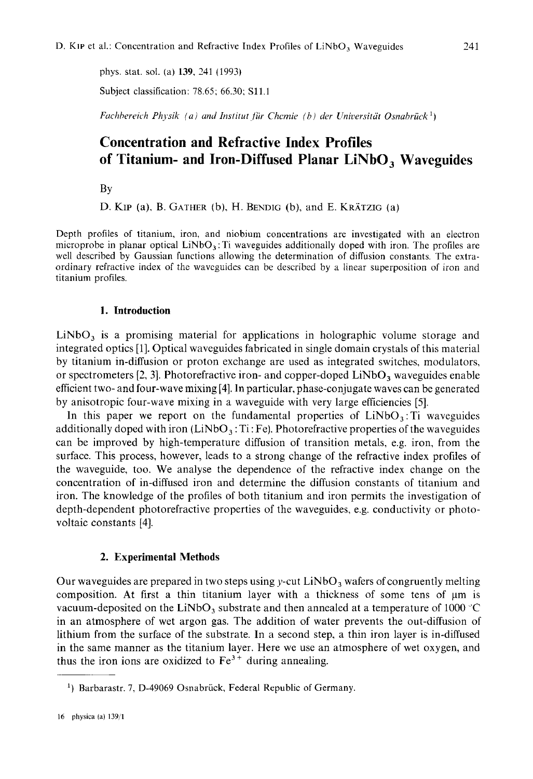phys. stat. sol. (a) **139,** 341 (1993)

Subject classification: 78.65; 66.30; S1l.l

*Fuchhereich Physik (a) and Institut für Chemie (b) der Universität Osnabrück*<sup>1</sup>)

# **Concentration and Refractive Index Profiles of Titanium- and Iron-Diffused Planar LiNbO, Waveguides**

BY

D. KIP (a), B. GATHER (b), H. BENDIC (b), and E. KRATZIG (a)

Depth profiles of titanium, iron, and niobium concentrations are investigated with an electron microprobe in planar optical  $LiNbO<sub>3</sub>$ . Ti waveguides additionally doped with iron. The profiles are well described by Gaussian functions allowing the determination of diffusion constants. The extraordinary refractive index of the wavcguides can be described by **a** linear superposition of iron and titanium profiles.

## **1. Introduction**

LiNbO, is a promising material for applications in holographic volume storage and integrated optics [ 11. Optical waveguides fabricated in single domain crystals of this material by titanium in-diffusion or proton exchange are used as integrated switches, modulators, or spectrometers  $[2, 3]$ . Photorefractive iron- and copper-doped LiNbO<sub>3</sub> waveguides enable efficient two- and four-wave mixing [4]. In particular, phase-conjugate waves can be generated by anisotropic four-wave mixing in a waveguide with very large efficiencies *[5].* 

In this paper we report on the fundamental properties of  $LiNbO<sub>3</sub>$ : Ti waveguides additionally doped with iron  $(LiNbO<sub>3</sub>:Ti:Fe)$ . Photorefractive properties of the waveguides can be improved by high-temperature diffusion of transition metals, e.g. iron, from the surface. This process, however, leads to a strong change of the refractive index profiles of the waveguide, too. We analyse the dependence of the refractive index change on the concentration of in-diffused iron and determine the diffusion constants of titanium and iron. The knowledge of the profiles of both titanium and iron permits the investigation of depth-dependent photorefractive properties of the waveguides, e.g. conductivity or photovoltaic constants [4].

## **2. Experimental Methods**

Our waveguides are prepared in two steps using y-cut  $LiNbO<sub>3</sub>$  wafers of congruently melting composition. At first a thin titanium layer with a thickness of some tens of pm **is**  vacuum-deposited on the LiNbO<sub>3</sub> substrate and then annealed at a temperature of 1000  $^{\circ}$ C in an atmosphere of wet argon gas. The addition of water prevents the out-diffusion of lithium from the surface of the substrate. In a second step, a thin iron layer is in-diffused in the same manner as the titanium layer. Here we use an atmosphere of wet oxygen, and thus the iron ions are oxidized to  $Fe<sup>3+</sup>$  during annealing.

<sup>&</sup>lt;sup>1</sup>) Barbarastr. 7, D-49069 Osnabrück, Federal Republic of Germany.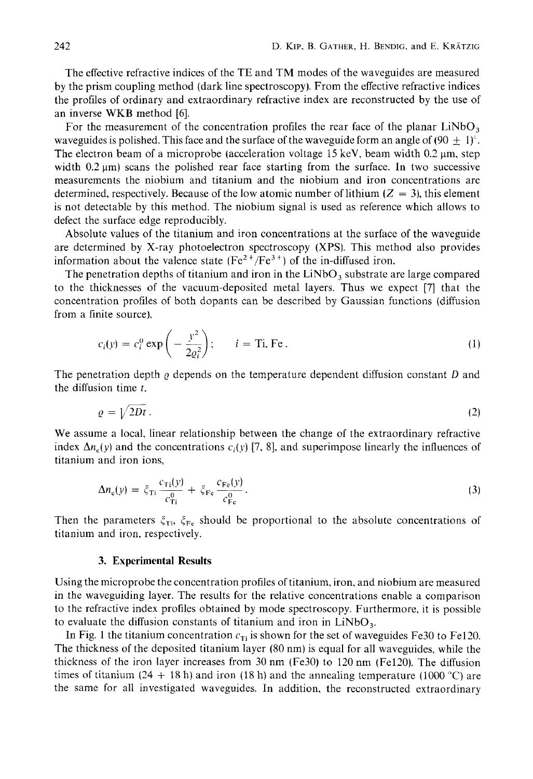The effective refractive indices of the TE and TM modes of the waveguides are measured by the prism coupling method (dark line spectroscopy). From the effective refractive indices the profiles of ordinary and extraordinary refractive index are reconstructed by the use of an inverse **WKB** method *[6].* 

For the measurement of the concentration profiles the rear face of the planar  $LiNbO<sub>3</sub>$ waveguides is polished. This face and the surface of the waveguide form an angle of (90  $\pm$  1)<sup>c</sup>. The electron beam of a microprobe (acceleration voltage 15 keV, beam width  $0.2 \mu m$ , step width  $0.2 \mu m$ ) scans the polished rear face starting from the surface. In two successive measurements the niobium and titanium and the niobium and iron concentrations are determined, respectively. Because of the low atomic number of lithium  $(Z = 3)$ , this element is not detectable by this method. The niobium signal is used as reference which allows to defect the surface edge reproducibly.

Absolute values of the titanium and iron concentrations at the surface of the waveguide are determined by X-ray photoelectron spectroscopy **(XPS).** This method also provides information about the valence state  $(Fe^{2+}/Fe^{3+})$  of the in-diffused iron.

The penetration depths of titanium and iron in the  $LiNbO<sub>3</sub>$  substrate are large compared to the thicknesses of the vacuum-deposited metal layers. Thus we expect *[7]* that the concentration profiles of both dopants can be described by Gaussian functions (diffusion from a finite source),

$$
c_i(y) = c_i^0 \exp\left(-\frac{y^2}{2\varrho_i^2}\right); \qquad i = \text{Ti, Fe.}
$$
 (1)

The penetration depth  $\varrho$  depends on the temperature dependent diffusion constant  $D$  and the diffusion time *r.* 

$$
\varrho = \sqrt{2Dt} \tag{2}
$$

We assume a local, linear relationship between the change of the extraordinary refractive index  $\Delta n$ , (y) and the concentrations  $c_i(y)$  [7, 8], and superimpose linearly the influences of titanium and iron ions,

$$
\Delta n_{\rm e}(y) = \xi_{\rm Ti} \frac{c_{\rm Ti}(y)}{c_{\rm Ti}^0} + \xi_{\rm Fe} \frac{c_{\rm Fe}(y)}{c_{\rm Fe}^0}.
$$
\n(3)

Then the parameters  $\xi_{\text{Ti}}$ ,  $\xi_{\text{Fe}}$  should be proportional to the absolute concentrations of titanium and iron, respectively.

### **3. Experimental Results**

Using the microprobe the concentration profiles of titanium, iron, and niobium are measured in the waveguiding layer. The results for the relative concentrations enable a comparison to the refractive index profiles obtained by mode spectroscopy. Furthermore, it is possible to evaluate the diffusion constants of titanium and iron in  $LiNbO<sub>3</sub>$ .

In Fig. 1 the titanium concentration  $c_{Ti}$  is shown for the set of waveguides Fe30 to Fe120. The thickness of the deposited titanium layer (80 nm) is equal for all waveguides, while the thickness of the iron layer increases from 30 nm (Fe30) to 120 nm (Fel2O). The diffusion times of titanium  $(24 + 18 \text{ h})$  and iron  $(18 \text{ h})$  and the annealing temperature  $(1000 \text{ °C})$  are the same for all investigated waveguides. In addition, the reconstructed extraordinary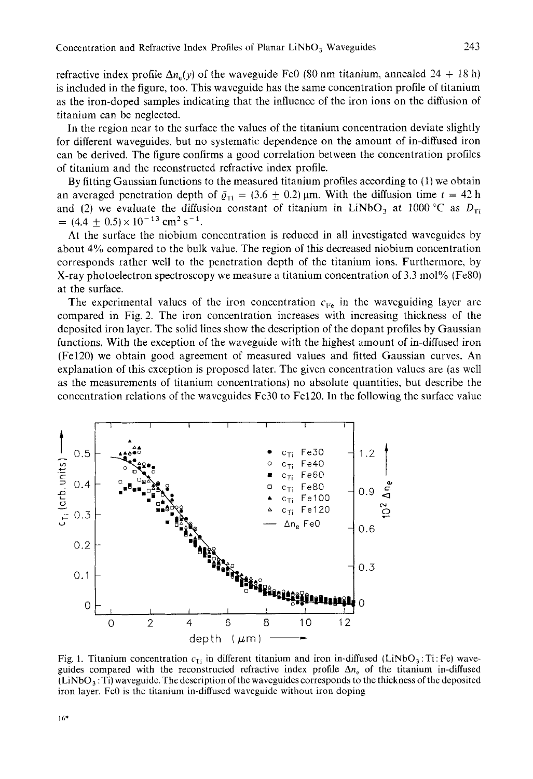refractive index profile  $\Delta n_e(y)$  of the waveguide FeO (80 nm titanium, annealed 24 + 18 h) is included in the figure, too. This waveguide has the same concentration profile of titanium as the iron-doped samples indicating that the influence of the iron ions on the diffusion of titanium can be neglected.

In the region near to the surface the values of the titanium concentration deviate slightly for different waveguides, but no systematic dependence on the amount of in-diffused iron can be derived. The figure confirms a good correlation between the concentration profiles of titanium and the reconstructed refractive index profile.

By fitting Gaussian functions to the measured titanium profiles according to (1) we obtain an averaged penetration depth of  $\bar{\varrho}_{\text{Ti}} = (3.6 \pm 0.2)$  µm. With the diffusion time  $t = 42$  h and (2) we evaluate the diffusion constant of titanium in LiNbO<sub>3</sub> at 1000 °C as  $D_{\text{Ti}}$  $= (4.4 \pm 0.5) \times 10^{-13}$  cm<sup>2</sup> s<sup>-1</sup>.

At the surface the niobium concentration is reduced in all investigated waveguides by about 4% compared to the bulk value. The region of this decreased niobium concentration corresponds rather well to the penetration depth of the titanium ions. Furthermore, by X-ray photoelectron spectroscopy we measure a titanium concentration of 3.3 mol% (Fe80) at the surface.

The experimental values of the iron concentration  $c_{Fe}$  in the waveguiding layer are compared in Fig. 2. The iron concentration increases with increasing thickness of the deposited iron layer. The solid lines show the description of the dopant profiles by Gaussian functions. With the exception of the waveguide with the highest amount of in-diffused iron (Fe120) we obtain good agreement of measured values and fitted Gaussian curves. An explanation of this exception is proposed later. The given concentration values are (as well as the measurements of titanium concentrations) no absolute quantities, but describe the concentration relations of the waveguides Fe30 to Fe120. In the following the surface value



Fig. 1. Titanium concentration  $c_{Ti}$  in different titanium and iron in-diffused (LiNbO<sub>3</sub>: Ti: Fe) waveguides compared with the reconstructed refractive index profile  $\Delta n_e$  of the titanium in-diffused  $(LINbO<sub>3</sub>:Ti)$  waveguide. The description of the waveguides corresponds to the thickness of the deposited iron layer. FeO is the titanium in-diffused waveguidc without iron doping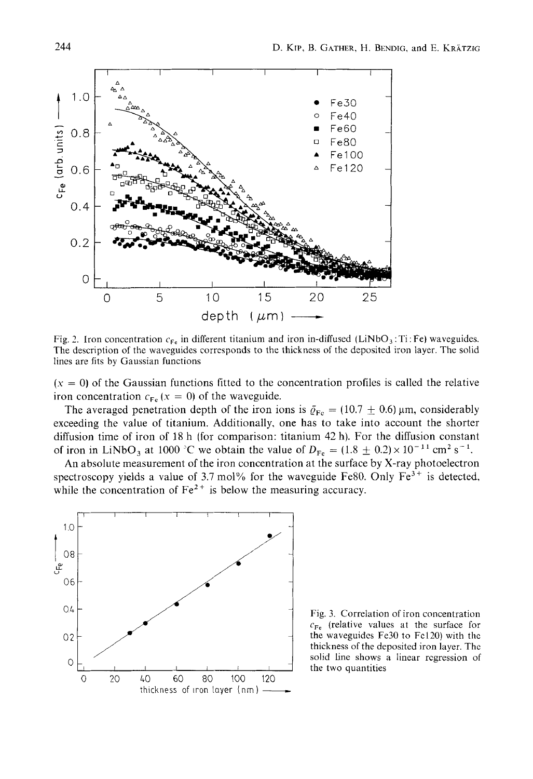

Fig. 2. Iron concentration  $c_{Fe}$  in different titanium and iron in-diffused (LiNbO<sub>3</sub>:Ti: Fe) waveguides. The description of the waveguides corresponds to the thickness of the deposited iron layer. The solid lines are fits by Gaussian functions

 $(x = 0)$  of the Gaussian functions fitted to the concentration profiles is called the relative iron concentration  $c_{Fe}$  ( $x = 0$ ) of the waveguide.

The averaged penetration depth of the iron ions is  $\bar{q}_{Fe} = (10.7 \pm 0.6)$  µm, considerably exceeding the value of titanium, Additionally, one has to take into account the shorter diffusion time of iron of 18 h (for comparison: titanium 42 h). For the diffusion constant of iron in LiNbO<sub>3</sub> at 1000<sup>o</sup>C we obtain the value of  $D_{Fe} = (1.8 \pm 0.2) \times 10^{-11}$  cm<sup>2</sup> s<sup>-1</sup>.

An absolute measurement of the iron concentration at the surface by X-ray photoelectron spectroscopy yields a value of 3.7 mol% for the waveguide Fe80. Only  $Fe<sup>3+</sup>$  is detected, while the concentration of  $Fe<sup>2+</sup>$  is below the measuring accuracy.



Fig. 3. Correlation of iron concentration  $c_{\text{Fe}}$  (relative values at the surface for the waveguides  $Fe30$  to  $Fe120$ ) with the thickness of the deposited iron layer. The solid line shows a linear regression of the two quantities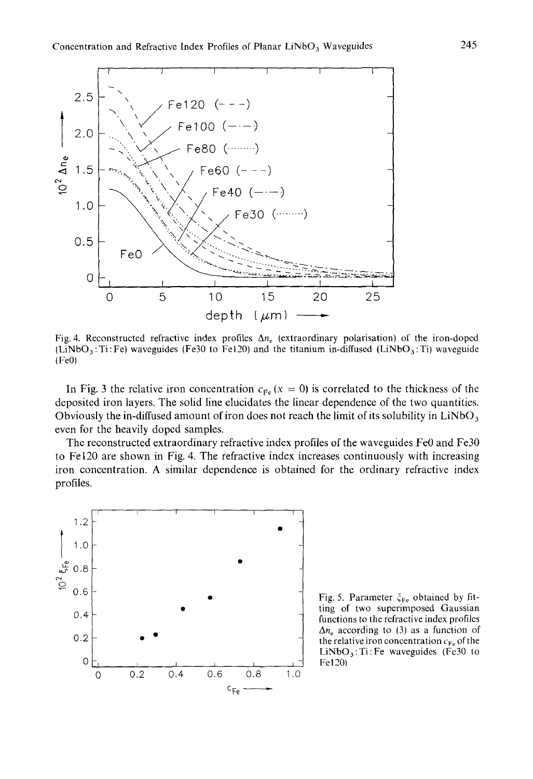

Fig. 4. Reconstructed refractive index profiles **An,** (extraordinary polarisation) of the iron-doped  $(LiNbO<sub>3</sub>:Ti: Fe)$  waveguides (Fe30 to Fe120) and the titanium in-diffused (LiNbO<sub>3</sub>: Ti) waveguide (FeOl

In Fig. 3 the relative iron concentration  $c_{Fe}$  ( $x = 0$ ) is correlated to the thickness of the deposited iron layers. The solid line elucidates the linear dependence of the two quantities. Obviously the in-diffused amount of iron does not reach the limit of its solubility in  $LiNbO<sub>3</sub>$ even for the heavily doped samples.

The reconstructed extraordinary refractive index profiles of the waveguides FeO and Fe30 to Fe120 are shown in Fig. 4. The refractive index increases continuously with increasing iron concentration. **A** similar dependence is obtained for the ordinary refractive index profiles.



Fig. 5. Parameter  $\xi_{\text{Fe}}$  obtained by fitting of two superimposed Gaussian functions to the refractive index profiles  $\Delta n_e$  according to (3) as a function of the relative iron concentration  $c_{Fe}$  of the  $LiNbO<sub>3</sub>$ : Ti: Fe waveguides (Fe30 to Fe120)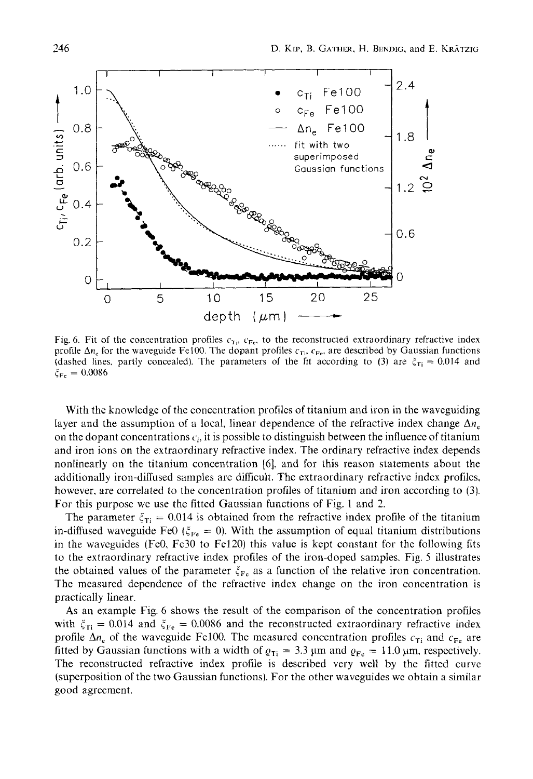

Fig. 6. Fit of the concentration profiles  $c_{Ti}$ ,  $c_{Fe}$ , to the reconstructed extraordinary refractive index profile  $\Delta n_e$  for the waveguide Fe100. The dopant profiles  $c_{Ti}$ ,  $c_{Fe}$ , are described by Gaussian functions (dashed lines, partly concealed). The parameters of the fit according to (3) are  $\xi_{Ti} = 0.014$  and  $\xi_{Fe} = 0.0086$ 

With the knowledge of the concentration profiles of titanium and iron in the waveguiding layer and the assumption of a local, linear dependence of the refractive index change  $\Delta n_c$ on the dopant concentrations  $c_i$ , it is possible to distinguish between the influence of titanium and iron ions on the extraordinary refractive index. The ordinary refractive index depends nonlinearly on the titanium concentration [6], and for this reason statements about the additionally iron-diffused samples are difficult. The extraordinary refractive index profiles, however, are correlated to the concentration profiles of titanium and iron according to (3). For this purpose we use the fitted Gaussian functions of Fig. 1 and *2.* 

The parameter  $\xi_{\text{Ti}} = 0.014$  is obtained from the refractive index profile of the titanium in-diffused waveguide FeO  $(\xi_{Fe} = 0)$ . With the assumption of equal titanium distributions in the waveguides (FeO, Fe30 to Fe120) this value is kept constant for the following fits to the extraordinary refractive index profiles of the iron-doped samples. Fig. 5 illustrates the obtained values of the parameter  $\xi_{\text{Fe}}$  as a function of the relative iron concentration. The measured dependence of the refractive index change on the iron concentration is practically linear.

**As** an example Fig. 6 shows the result of the comparison of the concentration profiles with  $\xi_{Ti} = 0.014$  and  $\xi_{Fe} = 0.0086$  and the reconstructed extraordinary refractive index profile  $\Delta n_e$  of the waveguide Fe100. The measured concentration profiles  $c_{Ti}$  and  $c_{Fe}$  are fitted by Gaussian functions with a width of  $\varrho_{Ti} = 3.3 \,\mu m$  and  $\varrho_{Fe} = 11.0 \,\mu m$ , respectively. The reconstructed refractive index profile is described very well by the fitted curve (superposition of the two Gaussian functions). For the other waveguides we obtain a similar good agreement.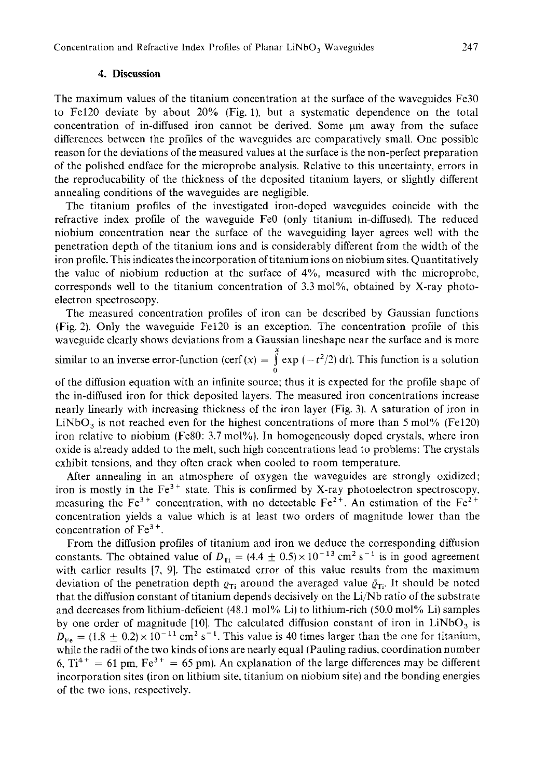## **4. Discussion**

The maximum values of the titanium concentration at the surface of the waveguides Fe30 to Fe120 deviate by about 20% (Fig. l), but a systematic dependence on the total concentration of in-diffused iron cannot be derived. Some  $\mu$ m away from the suface differences between the profiles of the waveguides are comparatively small. One possible reason for the deviations of the measured values at the surface is the non-perfect preparation of the polished endface for the microprobe analysis. Relative to this uncertainty, errors in the reproducability of the thickness of the deposited titanium layers, or slightly different annealing conditions **of** the waveguides are negligible.

The titanium profiles of the investigated iron-doped waveguides coincide with the refractive index profile of the waveguide FeO (only titanium in-diffused). The reduced niobium concentration near the surface of the waveguiding layer agrees well with the penetration depth of the titanium ions and is considerably different from the width of the iron profile. This indicates the incorporation of titanium ions on niobium sites. Quantitatively the value of niobium reduction at the surface of 4%, measured with the microprobe, corresponds well to the titanium concentration of 3.3 mol%, obtained by X-ray photoelectron spectroscopy.

The measured concentration profiles of iron can be described by Gaussian functions (Fig. 2). Only the waveguide Fe120 is an exception. The concentration profile of this waveguide clearly shows deviations from a Gaussian lineshape near the surface and is more

similar to an inverse error-function (cerf  $(x) = \int_0^x \exp(-t^2/2) dt$ ). This function is a solution *0* 

of the diffusion equation with an infinite source; thus it is expected for the profile shape of the in-diffused iron for thick deposited layers. The measured iron concentrations increase nearly linearly with increasing thickness of the iron layer (Fig. 3). A saturation of iron in LiNbO<sub>3</sub> is not reached even for the highest concentrations of more than  $5 \text{ mol}$ % (Fe120) iron relative to niobium (Fe80: 3.7 mol%). In homogeneously doped crystals, where iron oxide is already added to the melt, such high concentrations lead to problems: The crystals exhibit tensions, and they often crack when cooled to room temperature.

After annealing in an atmosphere of oxygen the waveguides are strongly oxidized; iron is mostly in the  $Fe<sup>3+</sup>$  state. This is confirmed by X-ray photoelectron spectroscopy, measuring the Fe<sup>3+</sup> concentration, with no detectable Fe<sup>2+</sup>. An estimation of the Fe<sup>2+</sup> concentration yields a value which is at least two orders of magnitude lower than the concentration of  $Fe<sup>3+</sup>$ .

From the diffusion profiles of titanium and iron we deduce the corresponding diffusion constants. The obtained value of  $D_{Ti} = (4.4 \pm 0.5) \times 10^{-13}$  cm<sup>2</sup> s<sup>-1</sup> is in good agreement with earlier results [7, 9]. The estimated error of this value results from the maximum deviation of the penetration depth  $\varrho_{\text{Ti}}$  around the averaged value  $\bar{\varrho}_{\text{Ti}}$ . It should be noted that the diffusion constant of titanium depends decisively on the Li/Nb ratio of the substrate and decreases from lithium-deficient (48.1 mol% Li) to lithium-rich (50.0 mol% Li) samples by one order of magnitude [10]. The calculated diffusion constant of iron in  $LiNbO<sub>3</sub>$  is  $D_{\text{Fe}} = (1.8 \pm 0.2) \times 10^{-11}$  cm<sup>2</sup> s<sup>-1</sup>. This value is 40 times larger than the one for titanium, while the radii of the two kinds of ions are nearly equal (Pauling radius, coordination number 6,  $Ti^{4+} = 61$  pm,  $Fe^{3+} = 65$  pm). An explanation of the large differences may be different incorporation sites (iron on lithium site, titanium on niobium site) and the bonding energies of the two ions, respectively.